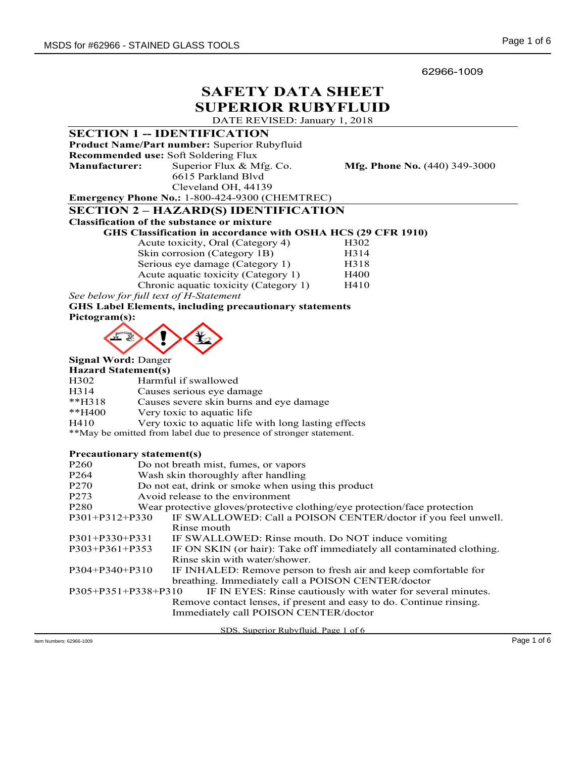62966-1009

# SAFETY DATA SHEET SUPERIOR RUBYFLUID

DATE REVISED: January 1, 2018

|                                   |  | <b>SECTION 1 -- IDENTIFICATION</b>                                        |                                                                       |
|-----------------------------------|--|---------------------------------------------------------------------------|-----------------------------------------------------------------------|
|                                   |  | Product Name/Part number: Superior Rubyfluid                              |                                                                       |
|                                   |  | Recommended use: Soft Soldering Flux                                      |                                                                       |
| <b>Manufacturer:</b>              |  | Superior Flux & Mfg. Co.                                                  | <b>Mfg. Phone No.</b> (440) 349-3000                                  |
|                                   |  | 6615 Parkland Blvd                                                        |                                                                       |
|                                   |  | Cleveland OH, 44139                                                       |                                                                       |
|                                   |  | Emergency Phone No.: 1-800-424-9300 (CHEMTREC)                            |                                                                       |
|                                   |  | <b>SECTION 2 - HAZARD(S) IDENTIFICATION</b>                               |                                                                       |
|                                   |  | <b>Classification of the substance or mixture</b>                         |                                                                       |
|                                   |  | GHS Classification in accordance with OSHA HCS (29 CFR 1910)              |                                                                       |
| Acute toxicity, Oral (Category 4) |  |                                                                           | H302                                                                  |
| Skin corrosion (Category 1B)      |  |                                                                           | H314                                                                  |
| Serious eye damage (Category 1)   |  |                                                                           | H318                                                                  |
|                                   |  | Acute aquatic toxicity (Category 1)                                       | H400                                                                  |
|                                   |  | Chronic aquatic toxicity (Category 1)                                     | H410                                                                  |
|                                   |  | See below for full text of H-Statement                                    |                                                                       |
|                                   |  | <b>GHS Label Elements, including precautionary statements</b>             |                                                                       |
| Pictogram(s):                     |  |                                                                           |                                                                       |
|                                   |  |                                                                           |                                                                       |
|                                   |  |                                                                           |                                                                       |
|                                   |  |                                                                           |                                                                       |
| <b>Signal Word: Danger</b>        |  |                                                                           |                                                                       |
| <b>Hazard Statement(s)</b>        |  |                                                                           |                                                                       |
| H302                              |  | Harmful if swallowed                                                      |                                                                       |
| H314                              |  | Causes serious eye damage                                                 |                                                                       |
| $**H318$                          |  | Causes severe skin burns and eye damage                                   |                                                                       |
| **H400                            |  | Very toxic to aquatic life                                                |                                                                       |
| H410                              |  | Very toxic to aquatic life with long lasting effects                      |                                                                       |
|                                   |  | **May be omitted from label due to presence of stronger statement.        |                                                                       |
| <b>Precautionary statement(s)</b> |  |                                                                           |                                                                       |
| P <sub>260</sub>                  |  | Do not breath mist, fumes, or vapors                                      |                                                                       |
| P <sub>264</sub>                  |  | Wash skin thoroughly after handling                                       |                                                                       |
| P <sub>270</sub>                  |  | Do not eat, drink or smoke when using this product                        |                                                                       |
| P273                              |  | Avoid release to the environment                                          |                                                                       |
| P280                              |  | Wear protective gloves/protective clothing/eye protection/face protection |                                                                       |
| P301+P312+P330                    |  |                                                                           | IF SWALLOWED: Call a POISON CENTER/doctor if you feel unwell.         |
|                                   |  | Rinse mouth                                                               |                                                                       |
| P301+P330+P331                    |  | IF SWALLOWED: Rinse mouth. Do NOT induce vomiting                         |                                                                       |
| P303+P361+P353                    |  |                                                                           | IF ON SKIN (or hair): Take off immediately all contaminated clothing. |
|                                   |  | Rinse skin with water/shower.                                             |                                                                       |
| $P304 + P340 + P310$              |  |                                                                           | IF INHALED: Remove person to fresh air and keep comfortable for       |
|                                   |  | breathing. Immediately call a POISON CENTER/doctor                        |                                                                       |
| P305+P351+P338+P310               |  |                                                                           | IF IN EYES: Rinse cautiously with water for several minutes.          |
|                                   |  |                                                                           | Remove contact lenses, if present and easy to do. Continue rinsing.   |
|                                   |  | Immediately call POISON CENTER/doctor                                     |                                                                       |
|                                   |  |                                                                           |                                                                       |
|                                   |  | SDS. Superior Rubyfluid. Page 1 of 6                                      |                                                                       |
| Item Numbers: 62966-1009          |  |                                                                           |                                                                       |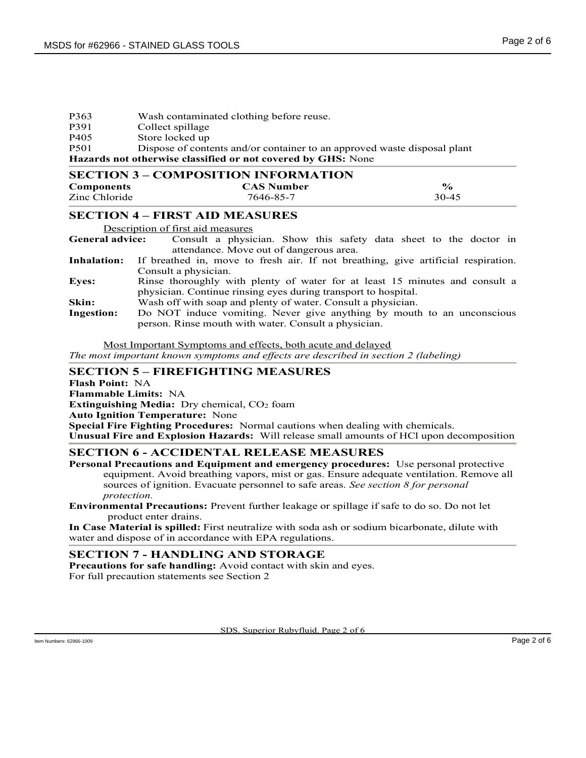| P363             | Wash contaminated clothing before reuse.                                 |
|------------------|--------------------------------------------------------------------------|
| P391             | Collect spillage                                                         |
| P <sub>405</sub> | Store locked up                                                          |
| P <sub>501</sub> | Dispose of contents and/or container to an approved waste disposal plant |

Hazards not otherwise classified or not covered by GHS: None

| <b>SECTION 3 – COMPOSITION INFORMATION</b> |                   |               |  |  |
|--------------------------------------------|-------------------|---------------|--|--|
| <b>Components</b>                          | <b>CAS Number</b> | $\frac{6}{9}$ |  |  |
| Zinc Chloride                              | 7646-85-7         | 30-45         |  |  |

## SECTION 4 – FIRST AID MEASURES

Description of first aid measures

General advice: Consult a physician. Show this safety data sheet to the doctor in attendance. Move out of dangerous area.

Inhalation: If breathed in, move to fresh air. If not breathing, give artificial respiration. Consult a physician.

- Eyes: Rinse thoroughly with plenty of water for at least 15 minutes and consult a physician. Continue rinsing eyes during transport to hospital. Skin: Wash off with soap and plenty of water. Consult a physician.
- Ingestion: Do NOT induce vomiting. Never give anything by mouth to an unconscious person. Rinse mouth with water. Consult a physician.

Most Important Symptoms and effects, both acute and delayed

The most important known symptoms and effects are described in section 2 (labeling)

### SECTION 5 – FIREFIGHTING MEASURES

Flash Point: NA Flammable Limits: NA Extinguishing Media: Dry chemical,  $CO<sub>2</sub>$  foam Auto Ignition Temperature: None Special Fire Fighting Procedures: Normal cautions when dealing with chemicals. Unusual Fire and Explosion Hazards: Will release small amounts of HCl upon decomposition

## SECTION 6 - ACCIDENTAL RELEASE MEASURES

Personal Precautions and Equipment and emergency procedures: Use personal protective equipment. Avoid breathing vapors, mist or gas. Ensure adequate ventilation. Remove all sources of ignition. Evacuate personnel to safe areas. See section 8 for personal protection.

Environmental Precautions: Prevent further leakage or spillage if safe to do so. Do not let product enter drains.

In Case Material is spilled: First neutralize with soda ash or sodium bicarbonate, dilute with water and dispose of in accordance with EPA regulations.

### SECTION 7 - HANDLING AND STORAGE

Precautions for safe handling: Avoid contact with skin and eyes. For full precaution statements see Section 2

SDS. Superior Rubyfluid. Page 2 of 6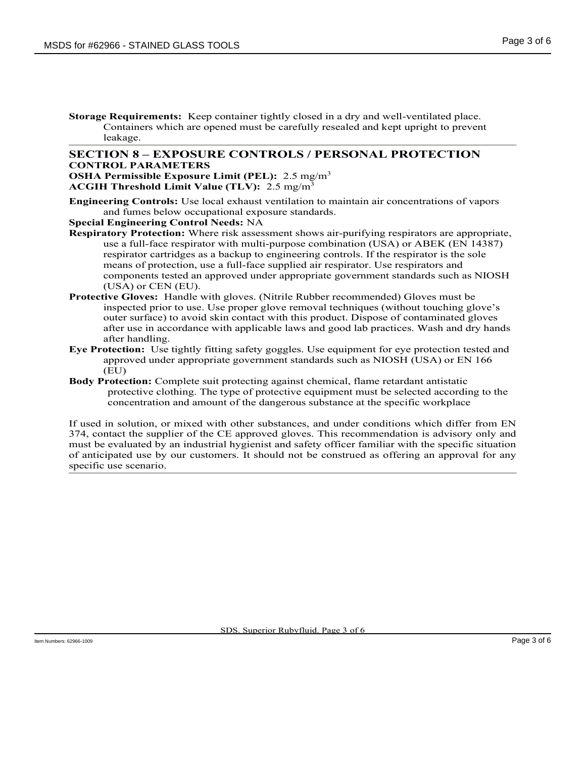Storage Requirements: Keep container tightly closed in a dry and well-ventilated place. Containers which are opened must be carefully resealed and kept upright to prevent leakage.

#### SECTION 8 – EXPOSURE CONTROLS / PERSONAL PROTECTION CONTROL PARAMETERS

**OSHA Permissible Exposure Limit (PEL):** 2.5 mg/m<sup>3</sup> ACGIH Threshold Limit Value (TLV):  $2.5 \text{ mg/m}^3$ 

Engineering Controls: Use local exhaust ventilation to maintain air concentrations of vapors and fumes below occupational exposure standards.

Special Engineering Control Needs: NA

- Respiratory Protection: Where risk assessment shows air-purifying respirators are appropriate, use a full-face respirator with multi-purpose combination (USA) or ABEK (EN 14387) respirator cartridges as a backup to engineering controls. If the respirator is the sole means of protection, use a full-face supplied air respirator. Use respirators and components tested an approved under appropriate government standards such as NIOSH (USA) or CEN (EU).
- Protective Gloves: Handle with gloves. (Nitrile Rubber recommended) Gloves must be inspected prior to use. Use proper glove removal techniques (without touching glove's outer surface) to avoid skin contact with this product. Dispose of contaminated gloves after use in accordance with applicable laws and good lab practices. Wash and dry hands after handling.
- Eye Protection: Use tightly fitting safety goggles. Use equipment for eye protection tested and approved under appropriate government standards such as NIOSH (USA) or EN 166 (EU)
- Body Protection: Complete suit protecting against chemical, flame retardant antistatic protective clothing. The type of protective equipment must be selected according to the concentration and amount of the dangerous substance at the specific workplace

If used in solution, or mixed with other substances, and under conditions which differ from EN 374, contact the supplier of the CE approved gloves. This recommendation is advisory only and must be evaluated by an industrial hygienist and safety officer familiar with the specific situation of anticipated use by our customers. It should not be construed as offering an approval for any specific use scenario.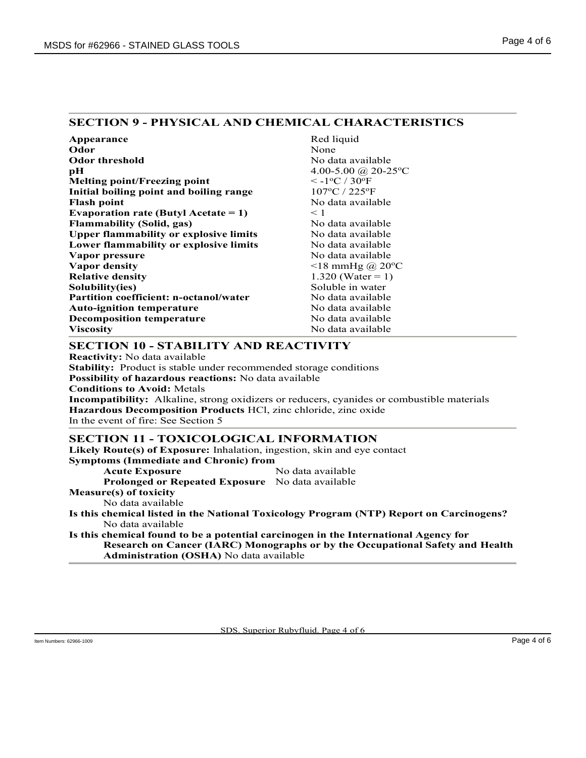## SECTION 9 - PHYSICAL AND CHEMICAL CHARACTERISTICS

| Appearance                                    | Red liquid                                    |
|-----------------------------------------------|-----------------------------------------------|
| Odor                                          | None                                          |
| <b>Odor threshold</b>                         | No data available                             |
| рH                                            | 4.00-5.00 @ 20-25 °C                          |
| <b>Melting point/Freezing point</b>           | $\rm < -1$ <sup>o</sup> C / 30 <sup>o</sup> F |
| Initial boiling point and boiling range       | $107^{\circ}$ C / 225 $^{\circ}$ F            |
| <b>Flash point</b>                            | No data available                             |
| Evaporation rate (Butyl Acetate = 1)          | $\leq 1$                                      |
| <b>Flammability (Solid, gas)</b>              | No data available                             |
| <b>Upper flammability or explosive limits</b> | No data available                             |
| Lower flammability or explosive limits        | No data available                             |
| Vapor pressure                                | No data available                             |
| Vapor density                                 | $\leq$ 18 mmHg @ 20°C                         |
| <b>Relative density</b>                       | 1.320 (Water = 1)                             |
| Solubility(ies)                               | Soluble in water                              |
| <b>Partition coefficient: n-octanol/water</b> | No data available                             |
| <b>Auto-ignition temperature</b>              | No data available                             |
| <b>Decomposition temperature</b>              | No data available                             |
| Viscositv                                     | No data available                             |

## SECTION 10 - STABILITY AND REACTIVITY

Reactivity: No data available Stability: Product is stable under recommended storage conditions Possibility of hazardous reactions: No data available Conditions to Avoid: Metals Incompatibility: Alkaline, strong oxidizers or reducers, cyanides or combustible materials Hazardous Decomposition Products HCl, zinc chloride, zinc oxide In the event of fire: See Section 5

### SECTION 11 - TOXICOLOGICAL INFORMATION

Likely Route(s) of Exposure: Inhalation, ingestion, skin and eye contact Symptoms (Immediate and Chronic) from

Acute Exposure No data available

Prolonged or Repeated Exposure No data available

Measure(s) of toxicity

No data available

Is this chemical listed in the National Toxicology Program (NTP) Report on Carcinogens? No data available

Is this chemical found to be a potential carcinogen in the International Agency for Research on Cancer (IARC) Monographs or by the Occupational Safety and Health Administration (OSHA) No data available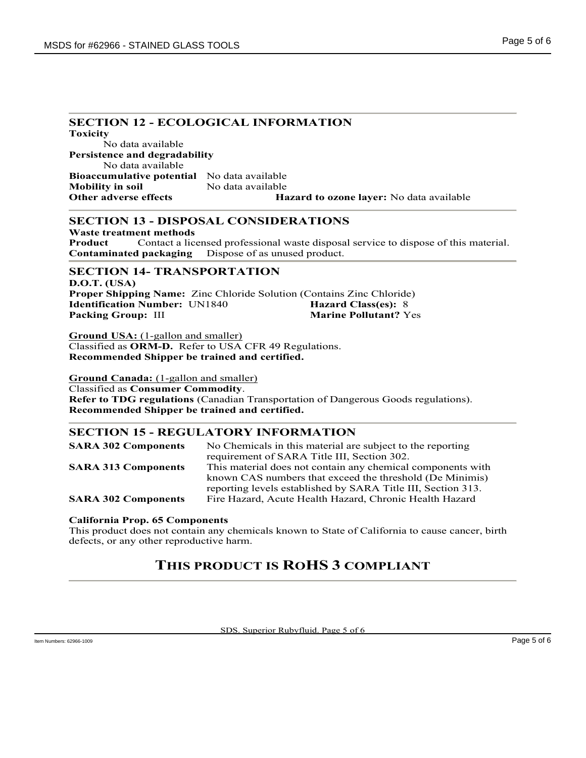## SECTION 12 - ECOLOGICAL INFORMATION

Toxicity No data available Persistence and degradability No data available Bioaccumulative potential No data available Mobility in soil No data available Other adverse effects **Hazard to ozone layer:** No data available

## SECTION 13 - DISPOSAL CONSIDERATIONS

Waste treatment methods Product Contact a licensed professional waste disposal service to dispose of this material. Contaminated packaging Dispose of as unused product.

### SECTION 14- TRANSPORTATION

D.O.T. (USA) Proper Shipping Name: Zinc Chloride Solution (Contains Zinc Chloride) Identification Number: UN1840 Hazard Class(es): 8 Packing Group: III Marine Pollutant? Yes

Ground USA: (1-gallon and smaller) Classified as ORM-D. Refer to USA CFR 49 Regulations. Recommended Shipper be trained and certified.

Ground Canada: (1-gallon and smaller) Classified as Consumer Commodity. Refer to TDG regulations (Canadian Transportation of Dangerous Goods regulations). Recommended Shipper be trained and certified.

## SECTION 15 - REGULATORY INFORMATION

| <b>SARA 302 Components</b> | No Chemicals in this material are subject to the reporting   |
|----------------------------|--------------------------------------------------------------|
|                            | requirement of SARA Title III, Section 302.                  |
| <b>SARA 313 Components</b> | This material does not contain any chemical components with  |
|                            | known CAS numbers that exceed the threshold (De Minimis)     |
|                            | reporting levels established by SARA Title III, Section 313. |
| <b>SARA 302 Components</b> | Fire Hazard, Acute Health Hazard, Chronic Health Hazard      |

#### California Prop. 65 Components

This product does not contain any chemicals known to State of California to cause cancer, birth defects, or any other reproductive harm.

# THIS PRODUCT IS ROHS 3 COMPLIANT

SDS. Superior Rubyfluid. Page 5 of 6